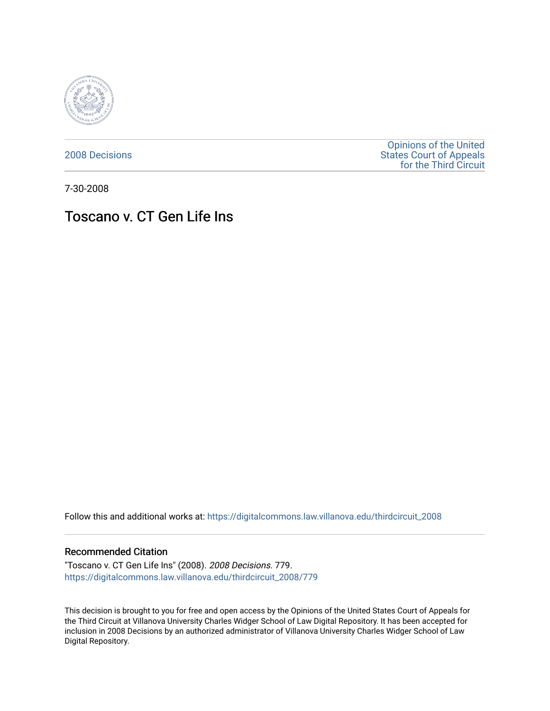

[2008 Decisions](https://digitalcommons.law.villanova.edu/thirdcircuit_2008)

[Opinions of the United](https://digitalcommons.law.villanova.edu/thirdcircuit)  [States Court of Appeals](https://digitalcommons.law.villanova.edu/thirdcircuit)  [for the Third Circuit](https://digitalcommons.law.villanova.edu/thirdcircuit) 

7-30-2008

# Toscano v. CT Gen Life Ins

Follow this and additional works at: [https://digitalcommons.law.villanova.edu/thirdcircuit\\_2008](https://digitalcommons.law.villanova.edu/thirdcircuit_2008?utm_source=digitalcommons.law.villanova.edu%2Fthirdcircuit_2008%2F779&utm_medium=PDF&utm_campaign=PDFCoverPages) 

### Recommended Citation

"Toscano v. CT Gen Life Ins" (2008). 2008 Decisions. 779. [https://digitalcommons.law.villanova.edu/thirdcircuit\\_2008/779](https://digitalcommons.law.villanova.edu/thirdcircuit_2008/779?utm_source=digitalcommons.law.villanova.edu%2Fthirdcircuit_2008%2F779&utm_medium=PDF&utm_campaign=PDFCoverPages)

This decision is brought to you for free and open access by the Opinions of the United States Court of Appeals for the Third Circuit at Villanova University Charles Widger School of Law Digital Repository. It has been accepted for inclusion in 2008 Decisions by an authorized administrator of Villanova University Charles Widger School of Law Digital Repository.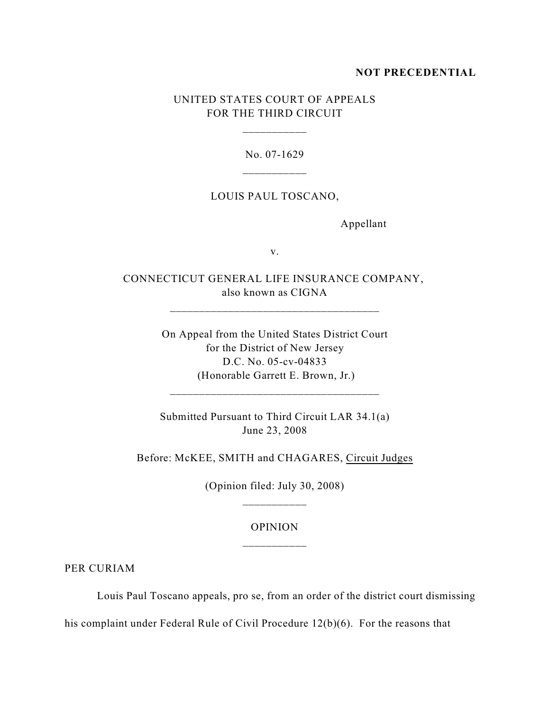## **NOT PRECEDENTIAL**

# UNITED STATES COURT OF APPEALS FOR THE THIRD CIRCUIT

\_\_\_\_\_\_\_\_\_\_\_

No. 07-1629

### LOUIS PAUL TOSCANO,

Appellant

v.

CONNECTICUT GENERAL LIFE INSURANCE COMPANY, also known as CIGNA

\_\_\_\_\_\_\_\_\_\_\_\_\_\_\_\_\_\_\_\_\_\_\_\_\_\_\_\_\_\_\_\_\_\_\_\_

On Appeal from the United States District Court for the District of New Jersey D.C. No. 05-cv-04833 (Honorable Garrett E. Brown, Jr.)

Submitted Pursuant to Third Circuit LAR 34.1(a) June 23, 2008

\_\_\_\_\_\_\_\_\_\_\_\_\_\_\_\_\_\_\_\_\_\_\_\_\_\_\_\_\_\_\_\_\_\_\_\_

Before: McKEE, SMITH and CHAGARES, Circuit Judges

(Opinion filed: July 30, 2008) \_\_\_\_\_\_\_\_\_\_\_

> OPINION \_\_\_\_\_\_\_\_\_\_\_

PER CURIAM

Louis Paul Toscano appeals, pro se, from an order of the district court dismissing

his complaint under Federal Rule of Civil Procedure 12(b)(6). For the reasons that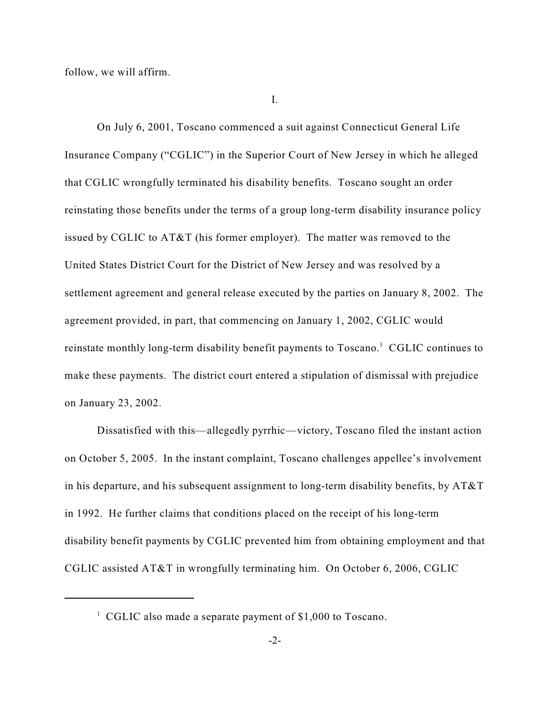follow, we will affirm.

I.

On July 6, 2001, Toscano commenced a suit against Connecticut General Life Insurance Company ("CGLIC") in the Superior Court of New Jersey in which he alleged that CGLIC wrongfully terminated his disability benefits. Toscano sought an order reinstating those benefits under the terms of a group long-term disability insurance policy issued by CGLIC to AT&T (his former employer). The matter was removed to the United States District Court for the District of New Jersey and was resolved by a settlement agreement and general release executed by the parties on January 8, 2002. The agreement provided, in part, that commencing on January 1, 2002, CGLIC would reinstate monthly long-term disability benefit payments to  $Toscano<sup>1</sup>$ . CGLIC continues to make these payments. The district court entered a stipulation of dismissal with prejudice on January 23, 2002.

Dissatisfied with this—allegedly pyrrhic—victory, Toscano filed the instant action on October 5, 2005. In the instant complaint, Toscano challenges appellee's involvement in his departure, and his subsequent assignment to long-term disability benefits, by  $AT&T$ in 1992. He further claims that conditions placed on the receipt of his long-term disability benefit payments by CGLIC prevented him from obtaining employment and that CGLIC assisted AT&T in wrongfully terminating him. On October 6, 2006, CGLIC

 $\,^1$  CGLIC also made a separate payment of \$1,000 to Toscano.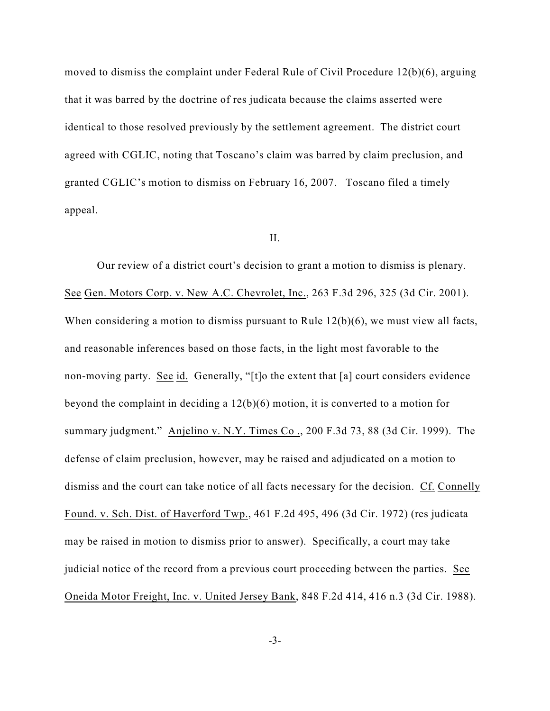moved to dismiss the complaint under Federal Rule of Civil Procedure 12(b)(6), arguing that it was barred by the doctrine of res judicata because the claims asserted were identical to those resolved previously by the settlement agreement. The district court agreed with CGLIC, noting that Toscano's claim was barred by claim preclusion, and granted CGLIC's motion to dismiss on February 16, 2007. Toscano filed a timely appeal.

#### II.

Our review of a district court's decision to grant a motion to dismiss is plenary. See Gen. Motors Corp. v. New A.C. Chevrolet, Inc., 263 F.3d 296, 325 (3d Cir. 2001). When considering a motion to dismiss pursuant to Rule 12(b)(6), we must view all facts, and reasonable inferences based on those facts, in the light most favorable to the non-moving party. See id. Generally, "[t]o the extent that [a] court considers evidence beyond the complaint in deciding a 12(b)(6) motion, it is converted to a motion for summary judgment." Anjelino v. N.Y. Times Co ., 200 F.3d 73, 88 (3d Cir. 1999). The defense of claim preclusion, however, may be raised and adjudicated on a motion to dismiss and the court can take notice of all facts necessary for the decision. Cf. Connelly Found. v. Sch. Dist. of Haverford Twp., 461 F.2d 495, 496 (3d Cir. 1972) (res judicata may be raised in motion to dismiss prior to answer). Specifically, a court may take judicial notice of the record from a previous court proceeding between the parties. See Oneida Motor Freight, Inc. v. United Jersey Bank, 848 F.2d 414, 416 n.3 (3d Cir. 1988).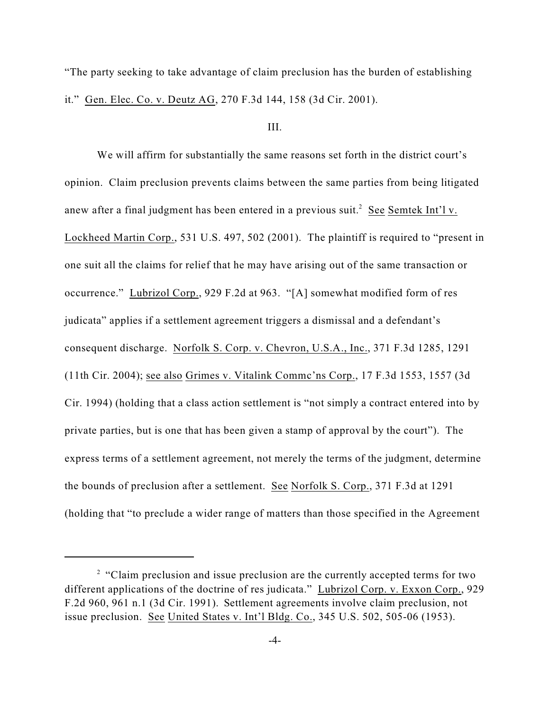"The party seeking to take advantage of claim preclusion has the burden of establishing it." Gen. Elec. Co. v. Deutz AG, 270 F.3d 144, 158 (3d Cir. 2001).

#### III.

We will affirm for substantially the same reasons set forth in the district court's opinion. Claim preclusion prevents claims between the same parties from being litigated anew after a final judgment has been entered in a previous suit.<sup>2</sup> See Semtek Int'l v. Lockheed Martin Corp., 531 U.S. 497, 502 (2001). The plaintiff is required to "present in one suit all the claims for relief that he may have arising out of the same transaction or occurrence." Lubrizol Corp., 929 F.2d at 963. "[A] somewhat modified form of res judicata" applies if a settlement agreement triggers a dismissal and a defendant's consequent discharge. Norfolk S. Corp. v. Chevron, U.S.A., Inc., 371 F.3d 1285, 1291 (11th Cir. 2004); see also Grimes v. Vitalink Commc'ns Corp., 17 F.3d 1553, 1557 (3d Cir. 1994) (holding that a class action settlement is "not simply a contract entered into by private parties, but is one that has been given a stamp of approval by the court"). The express terms of a settlement agreement, not merely the terms of the judgment, determine the bounds of preclusion after a settlement. See Norfolk S. Corp., 371 F.3d at 1291 (holding that "to preclude a wider range of matters than those specified in the Agreement

<sup>&</sup>lt;sup>2</sup> "Claim preclusion and issue preclusion are the currently accepted terms for two different applications of the doctrine of res judicata." Lubrizol Corp. v. Exxon Corp., 929 F.2d 960, 961 n.1 (3d Cir. 1991). Settlement agreements involve claim preclusion, not issue preclusion. See United States v. Int'l Bldg. Co., 345 U.S. 502, 505-06 (1953).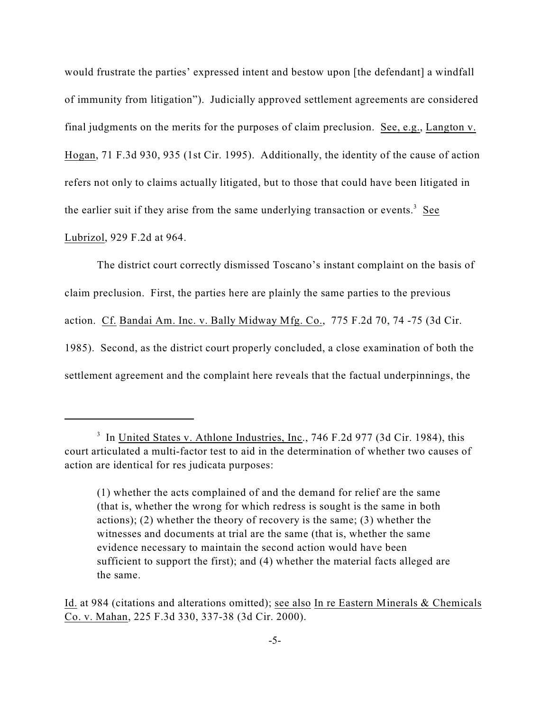would frustrate the parties' expressed intent and bestow upon [the defendant] a windfall of immunity from litigation"). Judicially approved settlement agreements are considered final judgments on the merits for the purposes of claim preclusion. See, e.g., Langton v. Hogan, 71 F.3d 930, 935 (1st Cir. 1995). Additionally, the identity of the cause of action refers not only to claims actually litigated, but to those that could have been litigated in the earlier suit if they arise from the same underlying transaction or events.<sup>3</sup> See Lubrizol, 929 F.2d at 964.

The district court correctly dismissed Toscano's instant complaint on the basis of claim preclusion. First, the parties here are plainly the same parties to the previous action. Cf. Bandai Am. Inc. v. Bally Midway Mfg. Co., 775 F.2d 70, 74 -75 (3d Cir. 1985). Second, as the district court properly concluded, a close examination of both the settlement agreement and the complaint here reveals that the factual underpinnings, the

<sup>&</sup>lt;sup>3</sup> In United States v. Athlone Industries, Inc., 746 F.2d 977 (3d Cir. 1984), this court articulated a multi-factor test to aid in the determination of whether two causes of action are identical for res judicata purposes:

<sup>(1)</sup> whether the acts complained of and the demand for relief are the same (that is, whether the wrong for which redress is sought is the same in both actions); (2) whether the theory of recovery is the same; (3) whether the witnesses and documents at trial are the same (that is, whether the same evidence necessary to maintain the second action would have been sufficient to support the first); and (4) whether the material facts alleged are the same.

Id. at 984 (citations and alterations omitted); see also In re Eastern Minerals & Chemicals Co. v. Mahan, 225 F.3d 330, 337-38 (3d Cir. 2000).